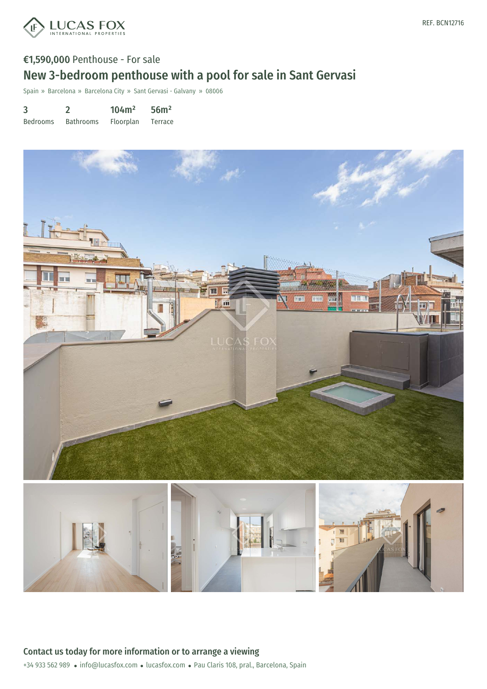

# €1,590,000 Penthouse - For sale New 3-bedroom penthouse with a pool for sale in Sant Gervasi

Spain » Barcelona » Barcelona City » Sant Gervasi - Galvany » 08006

| 3               |                  | 104m <sup>2</sup> | 56m <sup>2</sup> |
|-----------------|------------------|-------------------|------------------|
| <b>Bedrooms</b> | <b>Bathrooms</b> | Floorplan         | Terrace          |

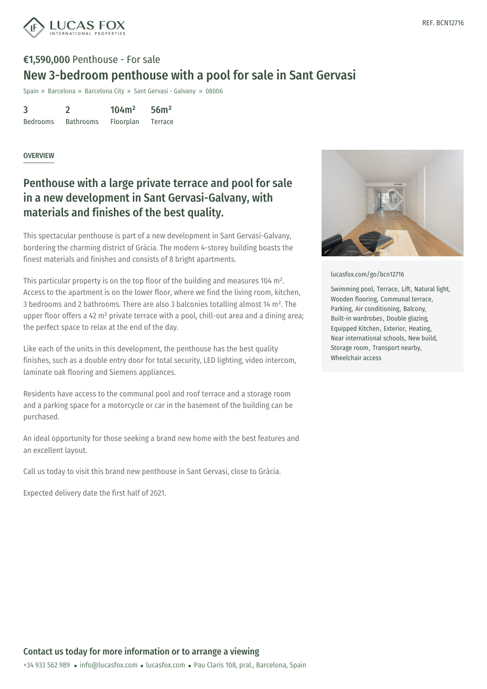

# €1,590,000 Penthouse - For sale New 3-bedroom penthouse with a pool for sale in Sant Gervasi

Spain » Barcelona » Barcelona City » Sant Gervasi - Galvany » 08006

3 Bedrooms 2 Bathrooms 104m² Floorplan 56m² Terrace

#### OVERVIEW

### Penthouse with a large private terrace and pool for sale in a new development in Sant Gervasi-Galvany, with materials and finishes of the best quality.

This spectacular penthouse is part of a new development in Sant Gervasi-Galvany, bordering the charming district of Gràcia. The modern 4-storey building boasts the finest materials and finishes and consists of 8 bright apartments.

This particular property is on the top floor of the building and measures 104 m². Access to the apartment is on the lower floor, where we find the living room, kitchen, 3 bedrooms and 2 bathrooms. There are also 3 balconies totalling almost 14 m². The upper floor offers a 42 m<sup>2</sup> private terrace with a pool, chill-out area and a dining area; the perfect space to relax at the end of the day.

Like each of the units in this development, the penthouse has the best quality finishes, such as a double entry door for total security, LED lighting, video intercom, laminate oak flooring and Siemens appliances.

Residents have access to the communal pool and roof terrace and a storage room and a parking space for a motorcycle or car in the basement of the building can be purchased.

An ideal opportunity for those seeking a brand new home with the best features and an excellent layout.

Call us today to visit this brand new penthouse in Sant Gervasi, close to Gràcia.

Expected delivery date the first half of 2021.



[lucasfox.com/go/bcn12716](https://www.lucasfox.com/go/bcn12716)

Swimming pool, Terrace, Lift, Natural light, Wooden flooring, Communal terrace, Parking, Air conditioning, Balcony, Built-in wardrobes, Double glazing, Equipped Kitchen, Exterior, Heating, Near international schools, New build, Storage room, Transport nearby, Wheelchair access